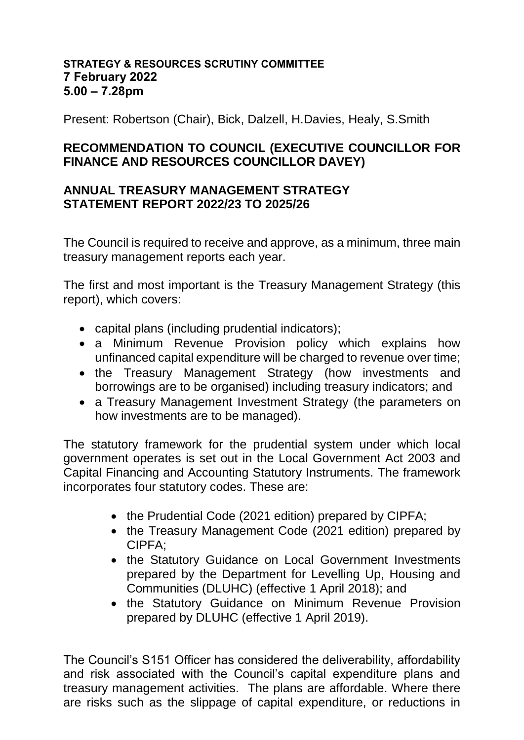## **STRATEGY & RESOURCES SCRUTINY COMMITTEE 7 February 2022 5.00 – 7.28pm**

Present: Robertson (Chair), Bick, Dalzell, H.Davies, Healy, S.Smith

## **RECOMMENDATION TO COUNCIL (EXECUTIVE COUNCILLOR FOR FINANCE AND RESOURCES COUNCILLOR DAVEY)**

## **ANNUAL TREASURY MANAGEMENT STRATEGY STATEMENT REPORT 2022/23 TO 2025/26**

The Council is required to receive and approve, as a minimum, three main treasury management reports each year.

The first and most important is the Treasury Management Strategy (this report), which covers:

- capital plans (including prudential indicators);
- a Minimum Revenue Provision policy which explains how unfinanced capital expenditure will be charged to revenue over time;
- the Treasury Management Strategy (how investments and borrowings are to be organised) including treasury indicators; and
- a Treasury Management Investment Strategy (the parameters on how investments are to be managed).

The statutory framework for the prudential system under which local government operates is set out in the Local Government Act 2003 and Capital Financing and Accounting Statutory Instruments. The framework incorporates four statutory codes. These are:

- the Prudential Code (2021 edition) prepared by CIPFA:
- the Treasury Management Code (2021 edition) prepared by CIPFA;
- the Statutory Guidance on Local Government Investments prepared by the Department for Levelling Up, Housing and Communities (DLUHC) (effective 1 April 2018); and
- the Statutory Guidance on Minimum Revenue Provision prepared by DLUHC (effective 1 April 2019).

The Council's S151 Officer has considered the deliverability, affordability and risk associated with the Council's capital expenditure plans and treasury management activities. The plans are affordable. Where there are risks such as the slippage of capital expenditure, or reductions in